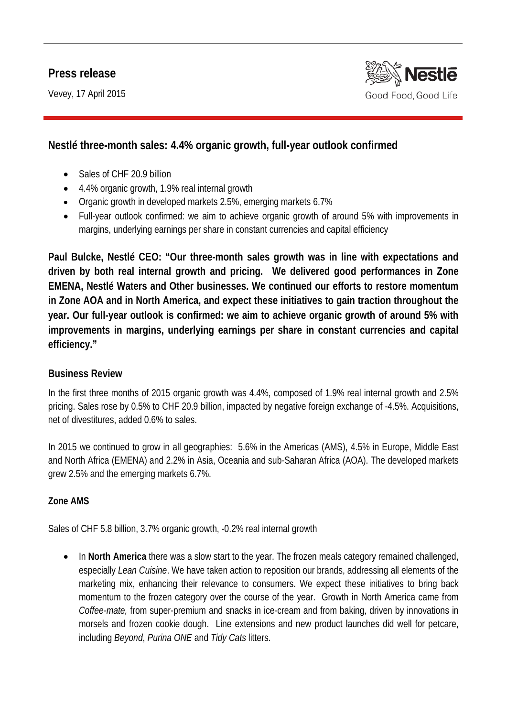# **Press release**

Vevey, 17 April 2015



# **Nestlé three-month sales: 4.4% organic growth, full-year outlook confirmed**

- Sales of CHF 20.9 billion
- 4.4% organic growth, 1.9% real internal growth
- Organic growth in developed markets 2.5%, emerging markets 6.7%
- Full-year outlook confirmed: we aim to achieve organic growth of around 5% with improvements in margins, underlying earnings per share in constant currencies and capital efficiency

**Paul Bulcke, Nestlé CEO: "Our three-month sales growth was in line with expectations and driven by both real internal growth and pricing. We delivered good performances in Zone EMENA, Nestlé Waters and Other businesses. We continued our efforts to restore momentum in Zone AOA and in North America, and expect these initiatives to gain traction throughout the year. Our full-year outlook is confirmed: we aim to achieve organic growth of around 5% with improvements in margins, underlying earnings per share in constant currencies and capital efficiency."**

#### **Business Review**

In the first three months of 2015 organic growth was 4.4%, composed of 1.9% real internal growth and 2.5% pricing. Sales rose by 0.5% to CHF 20.9 billion, impacted by negative foreign exchange of -4.5%. Acquisitions, net of divestitures, added 0.6% to sales.

In 2015 we continued to grow in all geographies: 5.6% in the Americas (AMS), 4.5% in Europe, Middle East and North Africa (EMENA) and 2.2% in Asia, Oceania and sub-Saharan Africa (AOA). The developed markets grew 2.5% and the emerging markets 6.7%.

#### **Zone AMS**

Sales of CHF 5.8 billion, 3.7% organic growth, -0.2% real internal growth

• In **North America** there was a slow start to the year. The frozen meals category remained challenged, especially *Lean Cuisine*. We have taken action to reposition our brands, addressing all elements of the marketing mix, enhancing their relevance to consumers. We expect these initiatives to bring back momentum to the frozen category over the course of the year. Growth in North America came from *Coffee-mate,* from super-premium and snacks in ice-cream and from baking, driven by innovations in morsels and frozen cookie dough. Line extensions and new product launches did well for petcare, including *Beyond*, *Purina ONE* and *Tidy Cats* litters.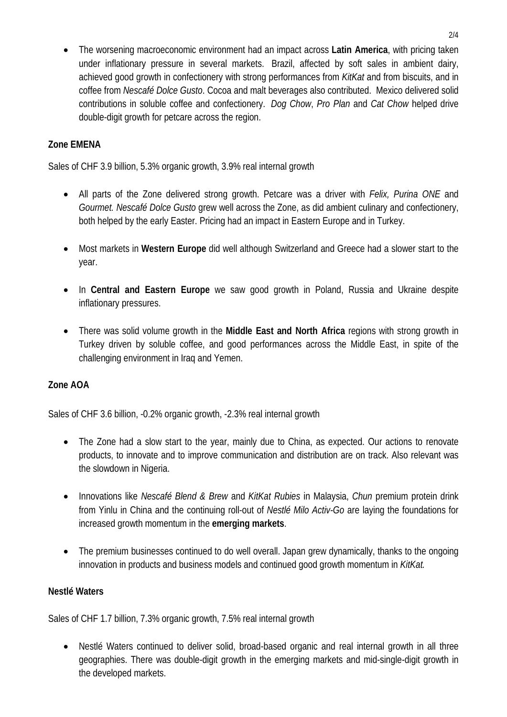• The worsening macroeconomic environment had an impact across **Latin America**, with pricing taken under inflationary pressure in several markets. Brazil, affected by soft sales in ambient dairy, achieved good growth in confectionery with strong performances from *KitKat* and from biscuits, and in coffee from *Nescafé Dolce Gusto*. Cocoa and malt beverages also contributed. Mexico delivered solid contributions in soluble coffee and confectionery. *Dog Chow*, *Pro Plan* and *Cat Chow* helped drive double-digit growth for petcare across the region.

## **Zone EMENA**

Sales of CHF 3.9 billion, 5.3% organic growth, 3.9% real internal growth

- All parts of the Zone delivered strong growth. Petcare was a driver with *Felix, Purina ONE* and *Gourmet. Nescafé Dolce Gusto* grew well across the Zone, as did ambient culinary and confectionery, both helped by the early Easter. Pricing had an impact in Eastern Europe and in Turkey.
- Most markets in **Western Europe** did well although Switzerland and Greece had a slower start to the year.
- In **Central and Eastern Europe** we saw good growth in Poland, Russia and Ukraine despite inflationary pressures.
- There was solid volume growth in the **Middle East and North Africa** regions with strong growth in Turkey driven by soluble coffee, and good performances across the Middle East, in spite of the challenging environment in Iraq and Yemen.

## **Zone AOA**

Sales of CHF 3.6 billion, -0.2% organic growth, -2.3% real internal growth

- The Zone had a slow start to the year, mainly due to China, as expected. Our actions to renovate products, to innovate and to improve communication and distribution are on track. Also relevant was the slowdown in Nigeria.
- Innovations like *Nescafé Blend & Brew* and *KitKat Rubies* in Malaysia, *Chun* premium protein drink from Yinlu in China and the continuing roll-out of *Nestlé Milo Activ-Go* are laying the foundations for increased growth momentum in the **emerging markets**.
- The premium businesses continued to do well overall. Japan grew dynamically, thanks to the ongoing innovation in products and business models and continued good growth momentum in *KitKat.*

## **Nestlé Waters**

Sales of CHF 1.7 billion, 7.3% organic growth, 7.5% real internal growth

• Nestlé Waters continued to deliver solid, broad-based organic and real internal growth in all three geographies. There was double-digit growth in the emerging markets and mid-single-digit growth in the developed markets.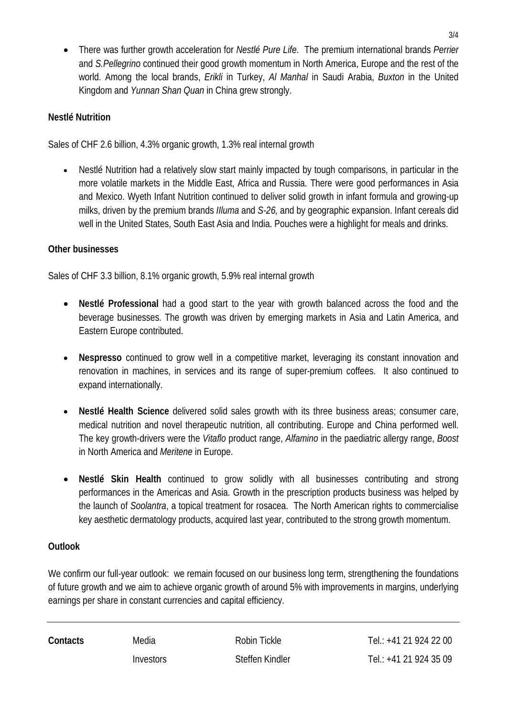• There was further growth acceleration for *Nestlé Pure Life*. The premium international brands *Perrier*  and *S.Pellegrino* continued their good growth momentum in North America, Europe and the rest of the world. Among the local brands, *Erikli* in Turkey, *Al Manhal* in Saudi Arabia, *Buxton* in the United Kingdom and *Yunnan Shan Quan* in China grew strongly.

### **Nestlé Nutrition**

Sales of CHF 2.6 billion, 4.3% organic growth, 1.3% real internal growth

• Nestlé Nutrition had a relatively slow start mainly impacted by tough comparisons, in particular in the more volatile markets in the Middle East, Africa and Russia. There were good performances in Asia and Mexico. Wyeth Infant Nutrition continued to deliver solid growth in infant formula and growing-up milks, driven by the premium brands *IIluma* and *S-26,* and by geographic expansion. Infant cereals did well in the United States, South East Asia and India. Pouches were a highlight for meals and drinks.

### **Other businesses**

Sales of CHF 3.3 billion, 8.1% organic growth, 5.9% real internal growth

- **Nestlé Professional** had a good start to the year with growth balanced across the food and the beverage businesses. The growth was driven by emerging markets in Asia and Latin America, and Eastern Europe contributed.
- **Nespresso** continued to grow well in a competitive market, leveraging its constant innovation and renovation in machines, in services and its range of super-premium coffees. It also continued to expand internationally.
- **Nestlé Health Science** delivered solid sales growth with its three business areas; consumer care, medical nutrition and novel therapeutic nutrition, all contributing. Europe and China performed well. The key growth-drivers were the *Vitaflo* product range, *Alfamino* in the paediatric allergy range, *Boost*  in North America and *Meritene* in Europe.
- **Nestlé Skin Health** continued to grow solidly with all businesses contributing and strong performances in the Americas and Asia. Growth in the prescription products business was helped by the launch of *Soolantra*, a topical treatment for rosacea. The North American rights to commercialise key aesthetic dermatology products, acquired last year, contributed to the strong growth momentum.

## **Outlook**

We confirm our full-year outlook: we remain focused on our business long term, strengthening the foundations of future growth and we aim to achieve organic growth of around 5% with improvements in margins, underlying earnings per share in constant currencies and capital efficiency.

**Contacts** Media Robin Tickle Tel.: +41 21 924 22 00 Investors Steffen Kindler Tel.: +41 21 924 35 09